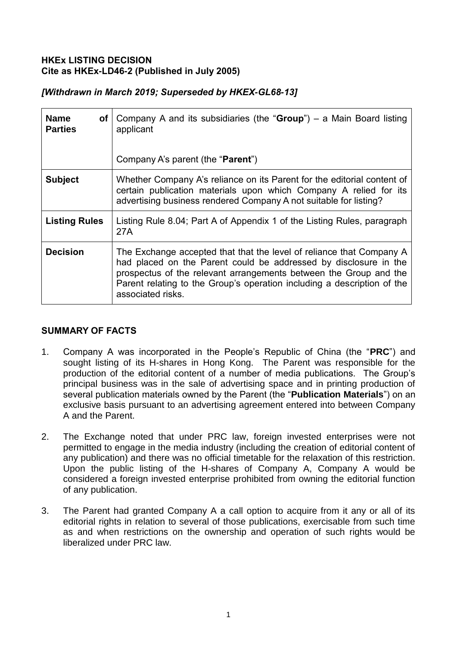### **HKEx LISTING DECISION Cite as HKEx-LD46-2 (Published in July 2005)**

|  |  | [Withdrawn in March 2019; Superseded by HKEX-GL68-13] |  |
|--|--|-------------------------------------------------------|--|
|--|--|-------------------------------------------------------|--|

| <b>Name</b><br><b>of</b><br><b>Parties</b> | Company A and its subsidiaries (the " $Group$ ") – a Main Board listing<br>applicant<br>Company A's parent (the " <b>Parent</b> ")                                                                                                                                                                            |
|--------------------------------------------|---------------------------------------------------------------------------------------------------------------------------------------------------------------------------------------------------------------------------------------------------------------------------------------------------------------|
|                                            |                                                                                                                                                                                                                                                                                                               |
| <b>Subject</b>                             | Whether Company A's reliance on its Parent for the editorial content of<br>certain publication materials upon which Company A relied for its<br>advertising business rendered Company A not suitable for listing?                                                                                             |
| <b>Listing Rules</b>                       | Listing Rule 8.04; Part A of Appendix 1 of the Listing Rules, paragraph<br>27A                                                                                                                                                                                                                                |
| <b>Decision</b>                            | The Exchange accepted that that the level of reliance that Company A<br>had placed on the Parent could be addressed by disclosure in the<br>prospectus of the relevant arrangements between the Group and the<br>Parent relating to the Group's operation including a description of the<br>associated risks. |

## **SUMMARY OF FACTS**

- 1. Company A was incorporated in the People's Republic of China (the "**PRC**") and sought listing of its H-shares in Hong Kong. The Parent was responsible for the production of the editorial content of a number of media publications. The Group's principal business was in the sale of advertising space and in printing production of several publication materials owned by the Parent (the "**Publication Materials**") on an exclusive basis pursuant to an advertising agreement entered into between Company A and the Parent.
- 2. The Exchange noted that under PRC law, foreign invested enterprises were not permitted to engage in the media industry (including the creation of editorial content of any publication) and there was no official timetable for the relaxation of this restriction. Upon the public listing of the H-shares of Company A, Company A would be considered a foreign invested enterprise prohibited from owning the editorial function of any publication.
- 3. The Parent had granted Company A a call option to acquire from it any or all of its editorial rights in relation to several of those publications, exercisable from such time as and when restrictions on the ownership and operation of such rights would be liberalized under PRC law.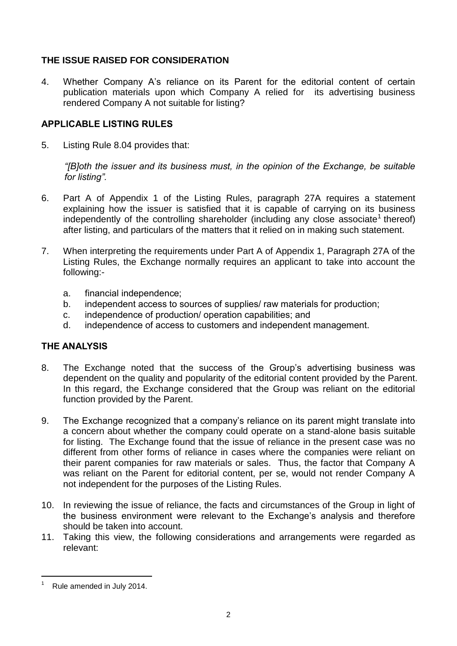# **THE ISSUE RAISED FOR CONSIDERATION**

4. Whether Company A's reliance on its Parent for the editorial content of certain publication materials upon which Company A relied for its advertising business rendered Company A not suitable for listing?

### **APPLICABLE LISTING RULES**

5. Listing Rule 8.04 provides that:

*"[B]oth the issuer and its business must, in the opinion of the Exchange, be suitable for listing".*

- 6. Part A of Appendix 1 of the Listing Rules, paragraph 27A requires a statement explaining how the issuer is satisfied that it is capable of carrying on its business independently of the controlling shareholder (including any close associate<sup>1</sup> thereof) after listing, and particulars of the matters that it relied on in making such statement.
- 7. When interpreting the requirements under Part A of Appendix 1, Paragraph 27A of the Listing Rules, the Exchange normally requires an applicant to take into account the following:
	- a. financial independence;
	- b. independent access to sources of supplies/ raw materials for production;
	- c. independence of production/ operation capabilities; and
	- d. independence of access to customers and independent management.

## **THE ANALYSIS**

- 8. The Exchange noted that the success of the Group's advertising business was dependent on the quality and popularity of the editorial content provided by the Parent. In this regard, the Exchange considered that the Group was reliant on the editorial function provided by the Parent.
- 9. The Exchange recognized that a company's reliance on its parent might translate into a concern about whether the company could operate on a stand-alone basis suitable for listing. The Exchange found that the issue of reliance in the present case was no different from other forms of reliance in cases where the companies were reliant on their parent companies for raw materials or sales. Thus, the factor that Company A was reliant on the Parent for editorial content, per se, would not render Company A not independent for the purposes of the Listing Rules.
- 10. In reviewing the issue of reliance, the facts and circumstances of the Group in light of the business environment were relevant to the Exchange's analysis and therefore should be taken into account.
- 11. Taking this view, the following considerations and arrangements were regarded as relevant:

<sup>-</sup>Rule amended in July 2014.